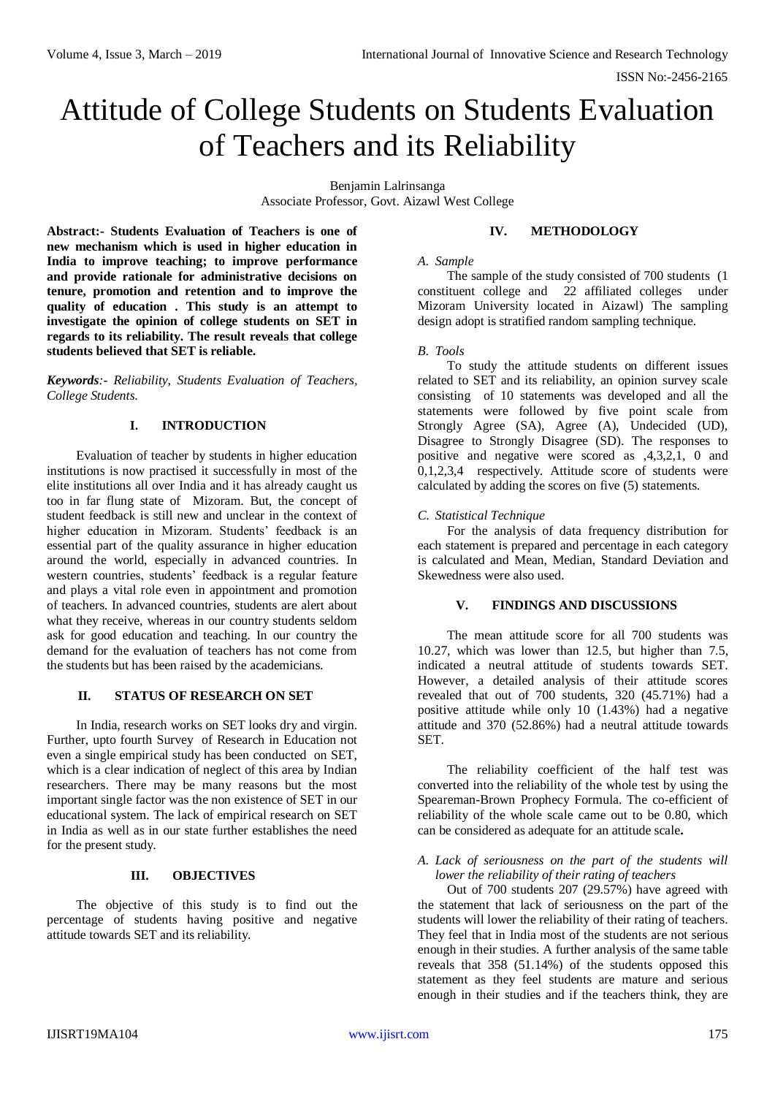# Attitude of College Students on Students Evaluation of Teachers and its Reliability

Benjamin Lalrinsanga Associate Professor, Govt. Aizawl West College

**Abstract:- Students Evaluation of Teachers is one of new mechanism which is used in higher education in India to improve teaching; to improve performance and provide rationale for administrative decisions on tenure, promotion and retention and to improve the quality of education . This study is an attempt to investigate the opinion of college students on SET in regards to its reliability. The result reveals that college students believed that SET is reliable.**

*Keywords:- Reliability, Students Evaluation of Teachers, College Students.*

# **I. INTRODUCTION**

Evaluation of teacher by students in higher education institutions is now practised it successfully in most of the elite institutions all over India and it has already caught us too in far flung state of Mizoram. But, the concept of student feedback is still new and unclear in the context of higher education in Mizoram. Students' feedback is an essential part of the quality assurance in higher education around the world, especially in advanced countries. In western countries, students' feedback is a regular feature and plays a vital role even in appointment and promotion of teachers. In advanced countries, students are alert about what they receive, whereas in our country students seldom ask for good education and teaching. In our country the demand for the evaluation of teachers has not come from the students but has been raised by the academicians.

# **II. STATUS OF RESEARCH ON SET**

In India, research works on SET looks dry and virgin. Further, upto fourth Survey of Research in Education not even a single empirical study has been conducted on SET, which is a clear indication of neglect of this area by Indian researchers. There may be many reasons but the most important single factor was the non existence of SET in our educational system. The lack of empirical research on SET in India as well as in our state further establishes the need for the present study.

# **III. OBJECTIVES**

The objective of this study is to find out the percentage of students having positive and negative attitude towards SET and its reliability.

# **IV. METHODOLOGY**

#### *A. Sample*

The sample of the study consisted of 700 students (1 constituent college and 22 affiliated colleges under Mizoram University located in Aizawl) The sampling design adopt is stratified random sampling technique.

# *B. Tools*

To study the attitude students on different issues related to SET and its reliability, an opinion survey scale consisting of 10 statements was developed and all the statements were followed by five point scale from Strongly Agree (SA), Agree (A), Undecided (UD), Disagree to Strongly Disagree (SD). The responses to positive and negative were scored as ,4,3,2,1, 0 and 0,1,2,3,4 respectively. Attitude score of students were calculated by adding the scores on five (5) statements.

# *C. Statistical Technique*

For the analysis of data frequency distribution for each statement is prepared and percentage in each category is calculated and Mean, Median, Standard Deviation and Skewedness were also used.

# **V. FINDINGS AND DISCUSSIONS**

The mean attitude score for all 700 students was 10.27, which was lower than 12.5, but higher than 7.5, indicated a neutral attitude of students towards SET. However, a detailed analysis of their attitude scores revealed that out of 700 students, 320 (45.71%) had a positive attitude while only 10 (1.43%) had a negative attitude and 370 (52.86%) had a neutral attitude towards SET.

The reliability coefficient of the half test was converted into the reliability of the whole test by using the Speareman-Brown Prophecy Formula. The co-efficient of reliability of the whole scale came out to be 0.80, which can be considered as adequate for an attitude scale**.**

# *A. Lack of seriousness on the part of the students will lower the reliability of their rating of teachers*

Out of 700 students 207 (29.57%) have agreed with the statement that lack of seriousness on the part of the students will lower the reliability of their rating of teachers. They feel that in India most of the students are not serious enough in their studies. A further analysis of the same table reveals that 358 (51.14%) of the students opposed this statement as they feel students are mature and serious enough in their studies and if the teachers think, they are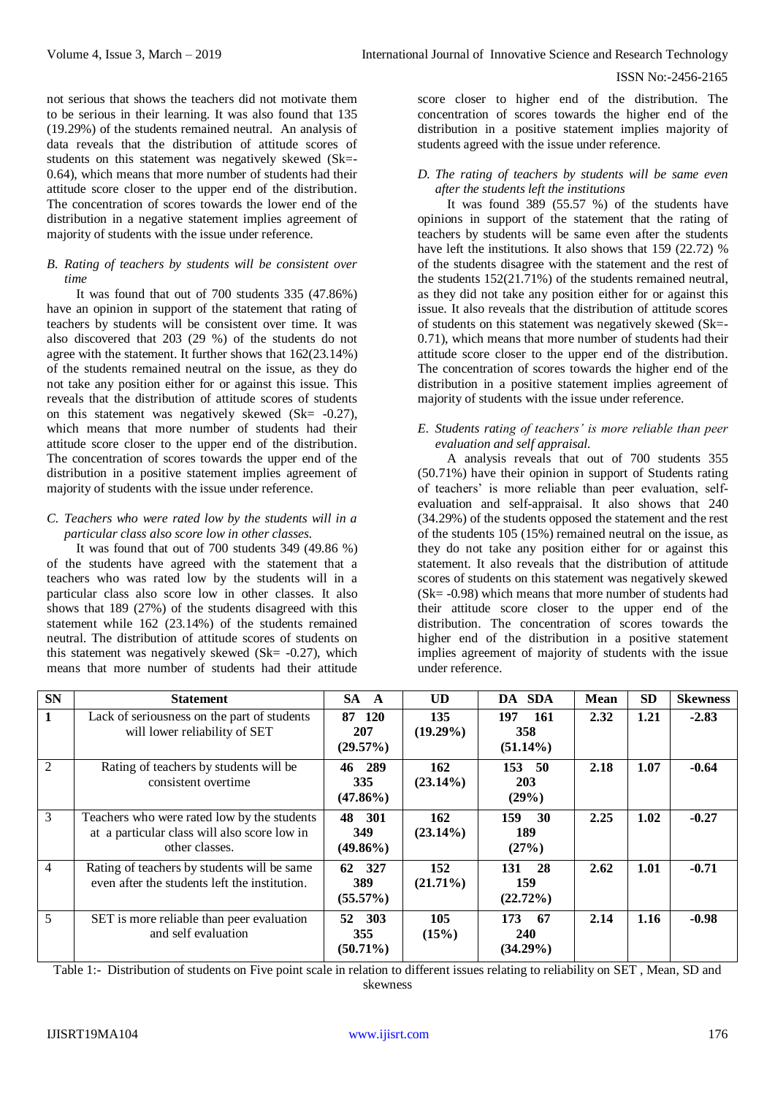not serious that shows the teachers did not motivate them to be serious in their learning. It was also found that 135 (19.29%) of the students remained neutral. An analysis of data reveals that the distribution of attitude scores of students on this statement was negatively skewed (Sk=- 0.64), which means that more number of students had their attitude score closer to the upper end of the distribution. The concentration of scores towards the lower end of the distribution in a negative statement implies agreement of majority of students with the issue under reference.

# *B. Rating of teachers by students will be consistent over time*

It was found that out of 700 students 335 (47.86%) have an opinion in support of the statement that rating of teachers by students will be consistent over time. It was also discovered that 203 (29 %) of the students do not agree with the statement. It further shows that 162(23.14%) of the students remained neutral on the issue, as they do not take any position either for or against this issue. This reveals that the distribution of attitude scores of students on this statement was negatively skewed (Sk=  $-0.27$ ), which means that more number of students had their attitude score closer to the upper end of the distribution. The concentration of scores towards the upper end of the distribution in a positive statement implies agreement of majority of students with the issue under reference.

# *C. Teachers who were rated low by the students will in a particular class also score low in other classes.*

It was found that out of 700 students 349 (49.86 %) of the students have agreed with the statement that a teachers who was rated low by the students will in a particular class also score low in other classes. It also shows that 189 (27%) of the students disagreed with this statement while 162 (23.14%) of the students remained neutral. The distribution of attitude scores of students on this statement was negatively skewed (Sk $= -0.27$ ), which means that more number of students had their attitude

score closer to higher end of the distribution. The concentration of scores towards the higher end of the distribution in a positive statement implies majority of students agreed with the issue under reference.

#### *D. The rating of teachers by students will be same even after the students left the institutions*

It was found 389 (55.57 %) of the students have opinions in support of the statement that the rating of teachers by students will be same even after the students have left the institutions. It also shows that 159 (22.72) % of the students disagree with the statement and the rest of the students 152(21.71%) of the students remained neutral, as they did not take any position either for or against this issue. It also reveals that the distribution of attitude scores of students on this statement was negatively skewed (Sk=- 0.71), which means that more number of students had their attitude score closer to the upper end of the distribution. The concentration of scores towards the higher end of the distribution in a positive statement implies agreement of majority of students with the issue under reference.

# *E. Students rating of teachers' is more reliable than peer evaluation and self appraisal.*

A analysis reveals that out of 700 students 355 (50.71%) have their opinion in support of Students rating of teachers' is more reliable than peer evaluation, selfevaluation and self-appraisal. It also shows that 240 (34.29%) of the students opposed the statement and the rest of the students 105 (15%) remained neutral on the issue, as they do not take any position either for or against this statement. It also reveals that the distribution of attitude scores of students on this statement was negatively skewed (Sk= -0.98) which means that more number of students had their attitude score closer to the upper end of the distribution. The concentration of scores towards the higher end of the distribution in a positive statement implies agreement of majority of students with the issue under reference.

| <b>SN</b>      | <b>Statement</b>                                                                                              | SA A                            | <b>UD</b>          | DA SDA                                   | <b>Mean</b> | <b>SD</b> | <b>Skewness</b> |
|----------------|---------------------------------------------------------------------------------------------------------------|---------------------------------|--------------------|------------------------------------------|-------------|-----------|-----------------|
| $\mathbf{1}$   | Lack of seriousness on the part of students<br>will lower reliability of SET                                  | 87 120<br>207<br>(29.57%)       | 135<br>$(19.29\%)$ | 197<br>-161<br>358<br>$(51.14\%)$        | 2.32        | 1.21      | $-2.83$         |
| 2              | Rating of teachers by students will be<br>consistent overtime                                                 | 46 289<br>335<br>$(47.86\%)$    | 162<br>$(23.14\%)$ | 153 50<br>203<br>(29%)                   | 2.18        | 1.07      | $-0.64$         |
| 3              | Teachers who were rated low by the students<br>at a particular class will also score low in<br>other classes. | 301<br>48<br>349<br>$(49.86\%)$ | 162<br>$(23.14\%)$ | 159<br>30<br>189<br>(27%)                | 2.25        | 1.02      | $-0.27$         |
| $\overline{4}$ | Rating of teachers by students will be same<br>even after the students left the institution.                  | 62 327<br>389<br>$(55.57\%)$    | 152<br>$(21.71\%)$ | 131<br>28<br>159<br>$(22.72\%)$          | 2.62        | 1.01      | $-0.71$         |
| 5              | SET is more reliable than peer evaluation<br>and self evaluation                                              | 52 303<br>355<br>$(50.71\%)$    | 105<br>(15%)       | 173<br>- 67<br><b>240</b><br>$(34.29\%)$ | 2.14        | 1.16      | $-0.98$         |

Table 1:- Distribution of students on Five point scale in relation to different issues relating to reliability on SET , Mean, SD and skewness